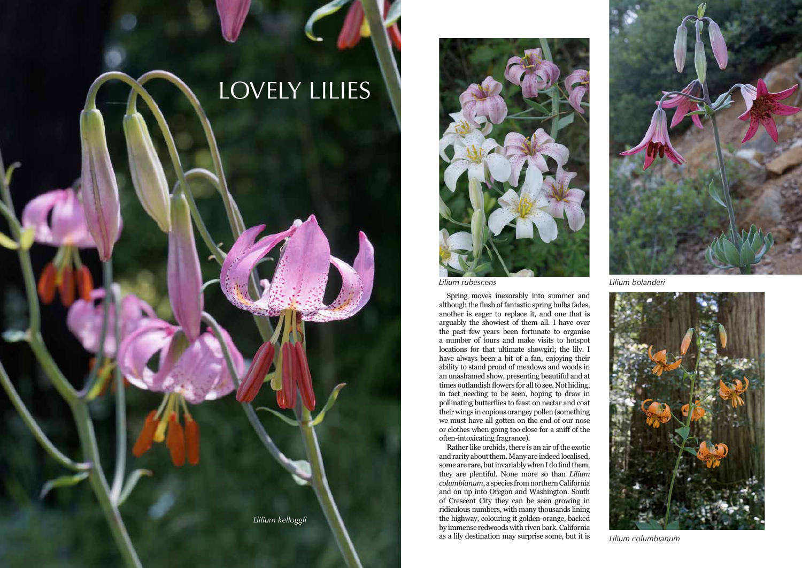*Llilium kelloggii*



## LOVELY LILIES

Spring moves inexorably into summer and although the flush of fantastic spring bulbs fades, another is eager to replace it, and one that is arguably the showiest of them all. I have over the past few years been fortunate to organise a number of tours and make visits to hotspot locations for that ultimate showgirl; the lily. I have always been a bit of a fan, enjoying their ability to stand proud of meadows and woods in an unashamed show, presenting beautiful and at times outlandish flowers for all to see. Not hiding, in fact needing to be seen, hoping to draw in pollinating butterflies to feast on nectar and coat their wings in copious orangey pollen (something we must have all gotten on the end of our nose or clothes when going too close for a sniff of the often-intoxicating fragrance).

Rather like orchids, there is an air of the exotic and rarity about them. Many are indeed localised, some are rare, but invariably when I do find them, they are plentiful. None more so than *Lilium columbianum*, a species from northern California and on up into Oregon and Washington. South of Crescent City they can be seen growing in ridiculous numbers, with many thousands lining the highway, colouring it golden-orange, backed by immense redwoods with riven bark. California as a lily destination may surprise some, but it is



*Lilium rubescens Lilium bolanderi*



*Lilium columbianum*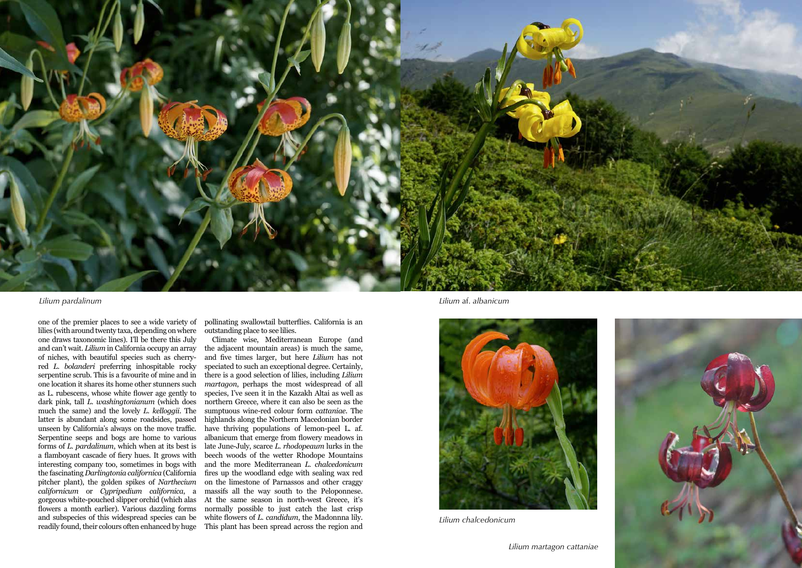one of the premier places to see a wide variety of lilies (with around twenty taxa, depending on where one draws taxonomic lines). I'll be there this July and can't wait. *Lilium* in California occupy an array of niches, with beautiful species such as cherryred *L. bolanderi* preferring inhospitable rocky serpentine scrub. This is a favourite of mine and in one location it shares its home other stunners such as L. rubescens, whose white flower age gently to dark pink, tall *L. washingtonianum* (which does much the same) and the lovely *L. kelloggii*. The latter is abundant along some roadsides, passed unseen by California's always on the move traffic. Serpentine seeps and bogs are home to various forms of *L. pardalinum*, which when at its best is a flamboyant cascade of fiery hues. It grows with interesting company too, sometimes in bogs with the fascinating *Darlingtonia californica* (California pitcher plant), the golden spikes of *Narthecium californicum* or *Cypripedium californica*, a gorgeous white-pouched slipper orchid (which alas flowers a month earlier). Various dazzling forms and subspecies of this widespread species can be readily found, their colours often enhanced by huge

pollinating swallowtail butterflies. California is an outstanding place to see lilies.

Climate wise, Mediterranean Europe (and the adjacent mountain areas) is much the same, and five times larger, but here *Lilium* has not speciated to such an exceptional degree. Certainly, there is a good selection of lilies, including *Lilium martagon*, perhaps the most widespread of all species, I've seen it in the Kazakh Altai as well as northern Greece, where it can also be seen as the sumptuous wine-red colour form *cattaniae*. The highlands along the Northern Macedonian border have thriving populations of lemon-peel L. af. albanicum that emerge from flowery meadows in late June-July, scarce *L. rhodopeaum* lurks in the beech woods of the wetter Rhodope Mountains and the more Mediterranean *L. chalcedonicum* fires up the woodland edge with sealing wax red on the limestone of Parnassos and other craggy massifs all the way south to the Peloponnese. At the same season in north-west Greece, it's normally possible to just catch the last crisp white flowers of *L. candidum*, the Madonnna lily. This plant has been spread across the region and



*Lilium pardalinum*



*Lilium* af. *albanicum*



*Lilium chalcedonicum*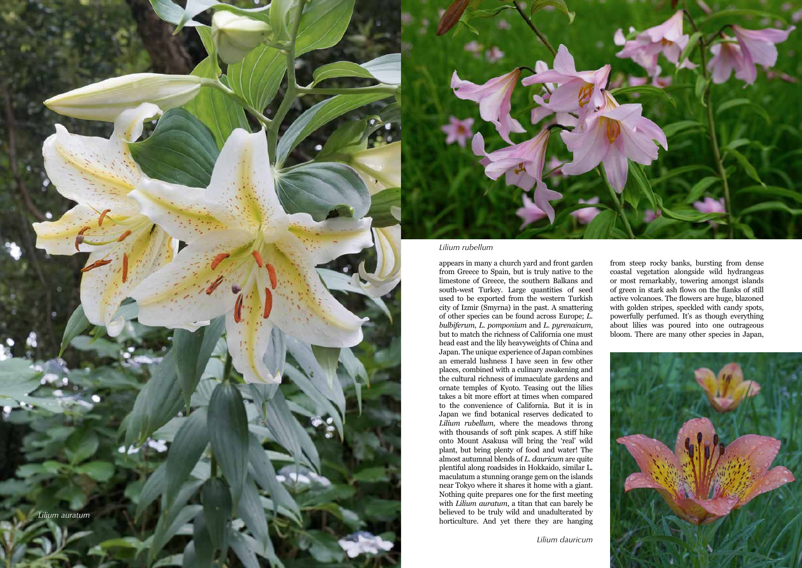appears in many a church yard and front garden from Greece to Spain, but is truly native to the limestone of Greece, the southern Balkans and south-west Turkey. Large quantities of seed used to be exported from the western Turkish city of Izmir (Smyrna) in the past. A smattering of other species can be found across Europe; *L. bulbiferum*, *L. pomponium* and *L. pyrenaicum*, but to match the richness of California one must head east and the lily heavyweights of China and Japan. The unique experience of Japan combines an emerald lushness I have seen in few other places, combined with a culinary awakening and the cultural richness of immaculate gardens and ornate temples of Kyoto. Teasing out the lilies takes a bit more effort at times when compared to the convenience of California. But it is in Japan we find botanical reserves dedicated to *Lilium rubellum*, where the meadows throng with thousands of soft pink scapes. A stiff hike onto Mount Asakusa will bring the 'real' wild plant, but bring plenty of food and water! The almost autumnal blends of *L. dauricum* are quite plentiful along roadsides in Hokkaido, similar L. maculatum a stunning orange gem on the islands near Tokyo where it shares it home with a giant. Nothing quite prepares one for the first meeting with *Lilium auratum*, a titan that can barely be believed to be truly wild and unadulterated by horticulture. And yet there they are hanging from steep rocky banks, bursting from dense coastal vegetation alongside wild hydrangeas or most remarkably, towering amongst islands of green in stark ash flows on the flanks of still active volcanoes. The flowers are huge, blazoned with golden stripes, speckled with candy spots, powerfully perfumed. It's as though everything about lilies was poured into one outrageous bloom. There are many other species in Japan,



*Lilium rubellum*



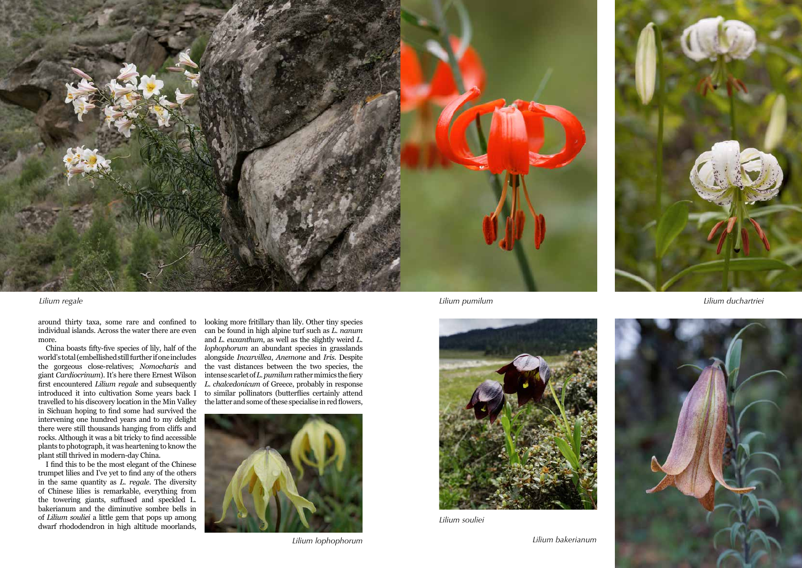

around thirty taxa, some rare and confined to more.

China boasts fifty-five species of lily, half of the world's total (embellished still further if one includes the gorgeous close-relatives; *Nomocharis* and giant *Cardiocrinum*). It's here there Ernest Wilson first encountered *Lilium regale* and subsequently introduced it into cultivation Some years back I travelled to his discovery location in the Min Valley in Sichuan hoping to find some had survived the intervening one hundred years and to my delight there were still thousands hanging from cliffs and rocks. Although it was a bit tricky to find accessible plants to photograph, it was heartening to know the plant still thrived in modern-day China.

individual islands. Across the water there are even can be found in high alpine turf such as *L. nanum* looking more fritillary than lily. Other tiny species and *L. euxanthum*, as well as the slightly weird *L. lophophorum* an abundant species in grasslands alongside *Incarvillea*, *Anemone* and *Iris*. Despite the vast distances between the two species, the intense scarlet of *L. pumilum* rather mimics the fiery *L. chalcedonicum* of Greece, probably in response to similar pollinators (butterflies certainly attend the latter and some of these specialise in red flowers,

I find this to be the most elegant of the Chinese trumpet lilies and I've yet to find any of the others in the same quantity as *L. regale*. The diversity of Chinese lilies is remarkable, everything from the towering giants, suffused and speckled L. bakerianum and the diminutive sombre bells in of *Lilium souliei* a little gem that pops up among dwarf rhododendron in high altitude moorlands,



*Lilium regale Lilium duchartriei*





*Lilium souliei*





*Lilium lophophorum*